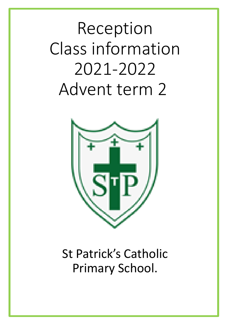# Reception Class information 2021-2022 Advent term 2



# St Patrick's Catholic Primary School.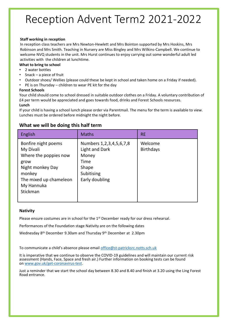### Reception Advent Term2 2021-2022

#### **Staff working in reception**

In reception class teachers are Mrs Newton-Hewlett and Mrs Bointon supported by Mrs Hoskins, Mrs Robinson and Mrs Smith. Teaching in Nursery are Miss Bingley and Mrs Wilkins-Campbell. We continue to welcome NVQ students in the unit. Mrs Hurst continues to enjoy carrying out some wonderful adult led activities with the children at lunchtime.

#### **What to bring to school**

- 2 water bottles
- Snack  $-$  a piece of fruit
- Outdoor shoes/ Wellies (please could these be kept in school and taken home on a Friday if needed).
- PE is on Thursday children to wear PE kit for the day

#### **Forest Schools**

Your child should come to school dressed in suitable outdoor clothes on a Friday. A voluntary contribution of £4 per term would be appreciated and goes towards food, drinks and Forest Schools resources.

#### **Lunch**

If your child is having a school lunch please order via Parentmail. The menu for the term is available to view. Lunches must be ordered before midnight the night before.

| <b>English</b>                                                                                                                                      | <b>Maths</b>                                                                                                      | <b>RE</b>                   |
|-----------------------------------------------------------------------------------------------------------------------------------------------------|-------------------------------------------------------------------------------------------------------------------|-----------------------------|
| Bonfire night poems<br>My Divali<br>Where the poppies now<br>grow<br>Night monkey Day<br>monkey<br>The mixed up chameleon<br>My Hannuka<br>Stickman | Numbers 1, 2, 3, 4, 5, 6, 7, 8<br><b>Light and Dark</b><br>Money<br>Time<br>Shape<br>Subitising<br>Early doubling | Welcome<br><b>Birthdays</b> |

#### **What we will be doing this half term**

#### **Nativity**

Please ensure costumes are in school for the  $1<sup>st</sup>$  December ready for our dress rehearsal.

Performances of the Foundation stage Nativity are on the following dates

Wednesday 8th December 9.30am and Thursday 9th December at 2.30pm

To communicate a child's absence please email [office@st-patricksrc.notts.sch.uk](mailto:office@st-patricksrc.notts.sch.uk)

It is imperative that we continue to observe the COVID-19 guidelines and will maintain our current risk assessment (Hands, Face, Space and fresh air.) Further information on booking tests can be found on [www.gov.uk/get-coronavirus-test](http://www.gov.uk/get-coronavirus-test).

Just a reminder that we start the school day between 8.30 and 8.40 and finish at 3.20 using the Ling Forest Road entrance.